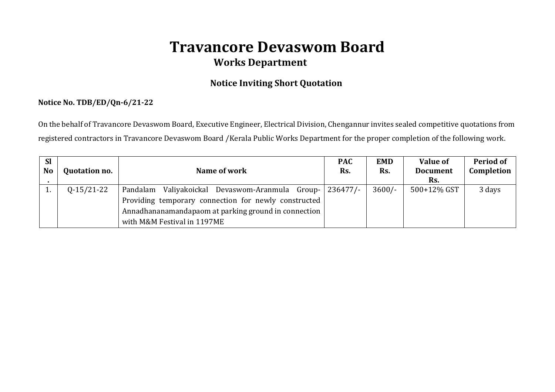# **Travancore Devaswom Board Works Department**

## **Notice Inviting Short Quotation**

### **Notice No. TDB/ED/Qn-6/21-22**

On the behalf of Travancore Devaswom Board, Executive Engineer, Electrical Division, Chengannur invites sealed competitive quotations from registered contractors in Travancore Devaswom Board /Kerala Public Works Department for the proper completion of the following work.

| <b>Sl</b><br><b>No</b> | <b>Quotation no.</b> | Name of work                                                                                                                                                                                            | <b>PAC</b><br>Rs. | <b>EMD</b><br>Rs. | <b>Value of</b><br><b>Document</b><br>Rs. | Period of<br>Completion |
|------------------------|----------------------|---------------------------------------------------------------------------------------------------------------------------------------------------------------------------------------------------------|-------------------|-------------------|-------------------------------------------|-------------------------|
|                        | $Q-15/21-22$         | Pandalam Valiyakoickal Devaswom-Aranmula Group- 236477/-<br>Providing temporary connection for newly constructed<br>Annadhananamandapaom at parking ground in connection<br>with M&M Festival in 1197ME |                   | $3600/-$          | 500+12% GST                               | 3 days                  |